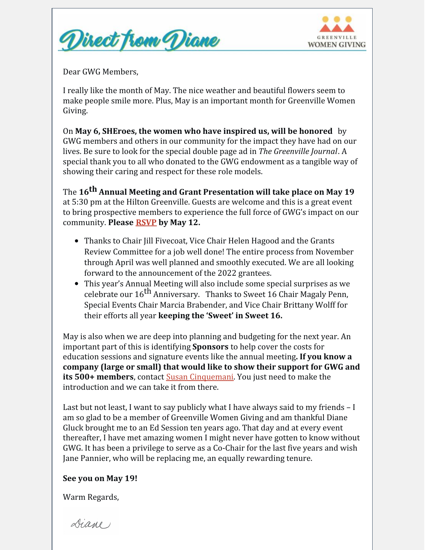



Dear GWG Members,

I really like the month of May. The nice weather and beautiful flowers seem to make people smile more. Plus, May is an important month for Greenville Women Giving.

On **May 6, SHEroes, the women who have inspired us, will be honored** by GWG members and others in our community for the impact they have had on our lives. Be sure to look for the special double page ad in *The Greenville Journal*. A special thank you to all who donated to the GWG endowment as a tangible way of showing their caring and respect for these role models.

The **16 th Annual Meeting and Grant Presentation will take place on May 19** at 5:30 pm at the Hilton Greenville. Guests are welcome and this is a great event to bring prospective members to experience the full force of GWG's impact on our community. **Please [RSVP](mailto:gwgrsvp@gmail.com) by May 12.**

- Thanks to Chair Jill Fivecoat, Vice Chair Helen Hagood and the Grants Review Committee for a job well done! The entire process from November through April was well planned and smoothly executed. We are all looking forward to the announcement of the 2022 grantees.
- This year's Annual Meeting will also include some special surprises as we celebrate our 16<sup>th</sup> Anniversary. Thanks to Sweet 16 Chair Magaly Penn, Special Events Chair Marcia Brabender, and Vice Chair Brittany Wolff for their efforts all year **keeping the 'Sweet' in Sweet 16.**

May is also when we are deep into planning and budgeting for the next year. An important part of this is identifying **Sponsors** to help cover the costs for education sessions and signature events like the annual meeting**. If you know a company (large or small) that would like to show their support for GWG and its** 500+ members, contact **Susan [Cinquemani](mailto:susan@fivehands.net)**. You just need to make the introduction and we can take it from there.

Last but not least, I want to say publicly what I have always said to my friends – I am so glad to be a member of Greenville Women Giving and am thankful Diane Gluck brought me to an Ed Session ten years ago. That day and at every event thereafter, I have met amazing women I might never have gotten to know without GWG. It has been a privilege to serve as a Co-Chair for the last five years and wish Jane Pannier, who will be replacing me, an equally rewarding tenure.

## **See you on May 19!**

Warm Regards,

Diane